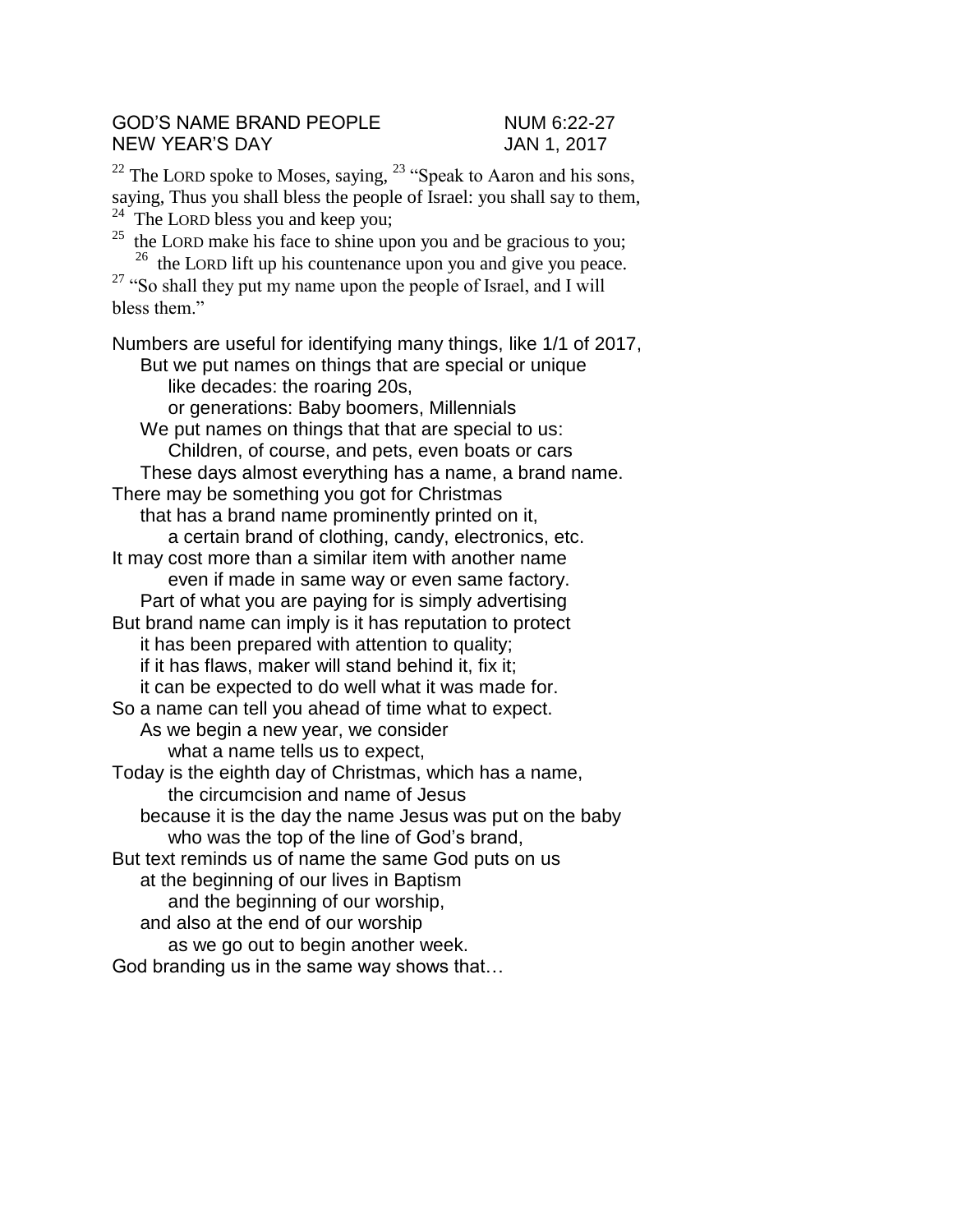## GOD'S NAME BRAND PEOPLE NUM 6:22-27 NEW YEAR'S DAY **JAN 1, 2017**

<sup>22</sup> The LORD spoke to Moses, saying,  $23$  "Speak to Aaron and his sons, saying, Thus you shall bless the people of Israel: you shall say to them, <sup>24</sup> The LORD bless you and keep you;

 $^{25}$  the LORD make his face to shine upon you and be gracious to you; <sup>26</sup> the LORD lift up his countenance upon you and give you peace.  $27$  "So shall they put my name upon the people of Israel, and I will bless them."

Numbers are useful for identifying many things, like 1/1 of 2017, But we put names on things that are special or unique like decades: the roaring 20s, or generations: Baby boomers, Millennials We put names on things that that are special to us: Children, of course, and pets, even boats or cars These days almost everything has a name, a brand name. There may be something you got for Christmas that has a brand name prominently printed on it, a certain brand of clothing, candy, electronics, etc. It may cost more than a similar item with another name even if made in same way or even same factory. Part of what you are paying for is simply advertising But brand name can imply is it has reputation to protect it has been prepared with attention to quality; if it has flaws, maker will stand behind it, fix it; it can be expected to do well what it was made for. So a name can tell you ahead of time what to expect. As we begin a new year, we consider what a name tells us to expect, Today is the eighth day of Christmas, which has a name, the circumcision and name of Jesus because it is the day the name Jesus was put on the baby who was the top of the line of God's brand, But text reminds us of name the same God puts on us at the beginning of our lives in Baptism and the beginning of our worship, and also at the end of our worship as we go out to begin another week. God branding us in the same way shows that…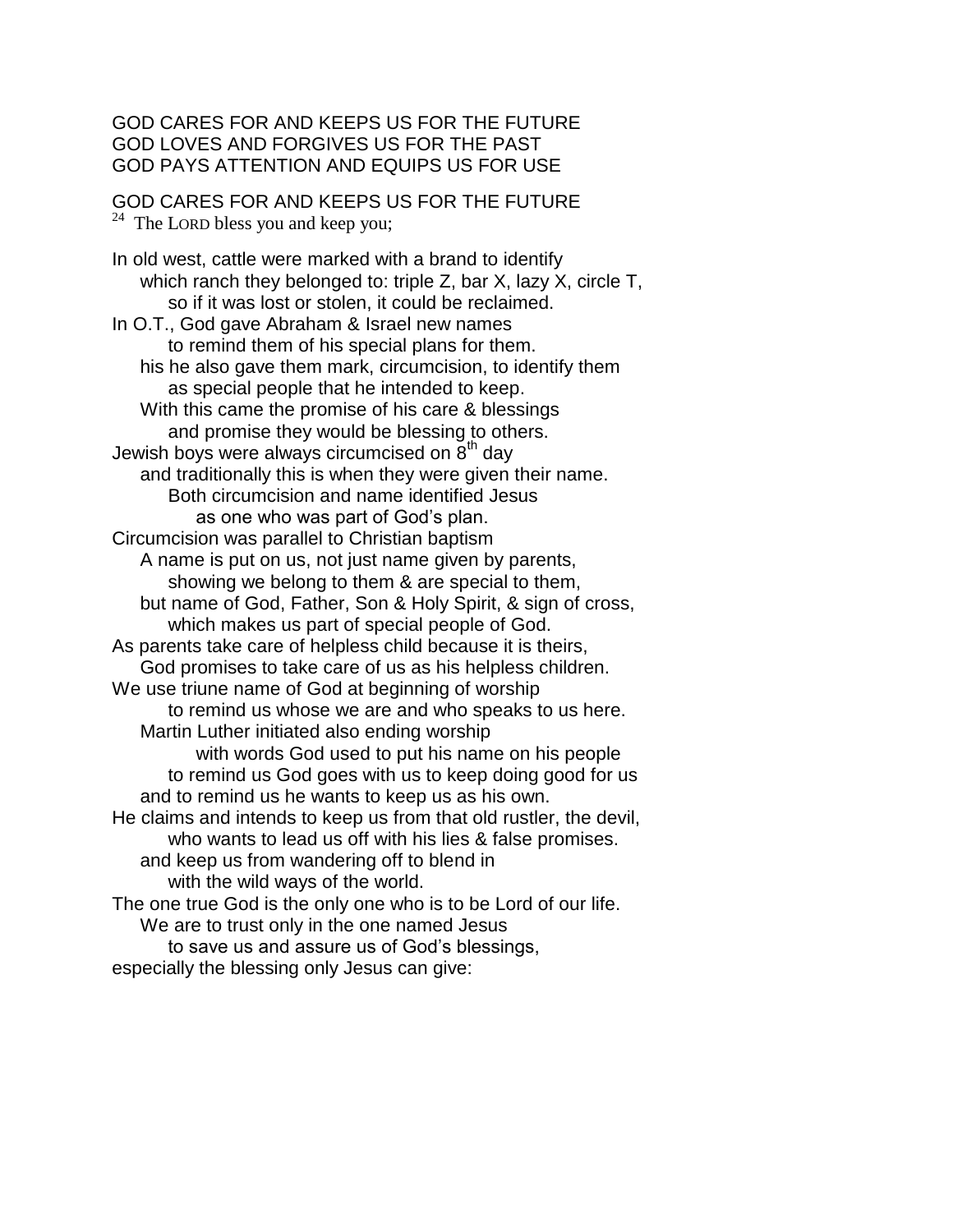GOD CARES FOR AND KEEPS US FOR THE FUTURE GOD LOVES AND FORGIVES US FOR THE PAST GOD PAYS ATTENTION AND EQUIPS US FOR USE

GOD CARES FOR AND KEEPS US FOR THE FUTURE  $24$  The LORD bless you and keep you;

In old west, cattle were marked with a brand to identify which ranch they belonged to: triple Z, bar X, lazy X, circle T, so if it was lost or stolen, it could be reclaimed. In O.T., God gave Abraham & Israel new names to remind them of his special plans for them. his he also gave them mark, circumcision, to identify them as special people that he intended to keep. With this came the promise of his care & blessings and promise they would be blessing to others. Jewish boys were always circumcised on  $\bar{8}^{th}$  day and traditionally this is when they were given their name. Both circumcision and name identified Jesus as one who was part of God's plan. Circumcision was parallel to Christian baptism A name is put on us, not just name given by parents, showing we belong to them & are special to them, but name of God, Father, Son & Holy Spirit, & sign of cross, which makes us part of special people of God. As parents take care of helpless child because it is theirs, God promises to take care of us as his helpless children. We use triune name of God at beginning of worship to remind us whose we are and who speaks to us here. Martin Luther initiated also ending worship with words God used to put his name on his people to remind us God goes with us to keep doing good for us and to remind us he wants to keep us as his own. He claims and intends to keep us from that old rustler, the devil, who wants to lead us off with his lies & false promises. and keep us from wandering off to blend in with the wild ways of the world. The one true God is the only one who is to be Lord of our life. We are to trust only in the one named Jesus to save us and assure us of God's blessings, especially the blessing only Jesus can give: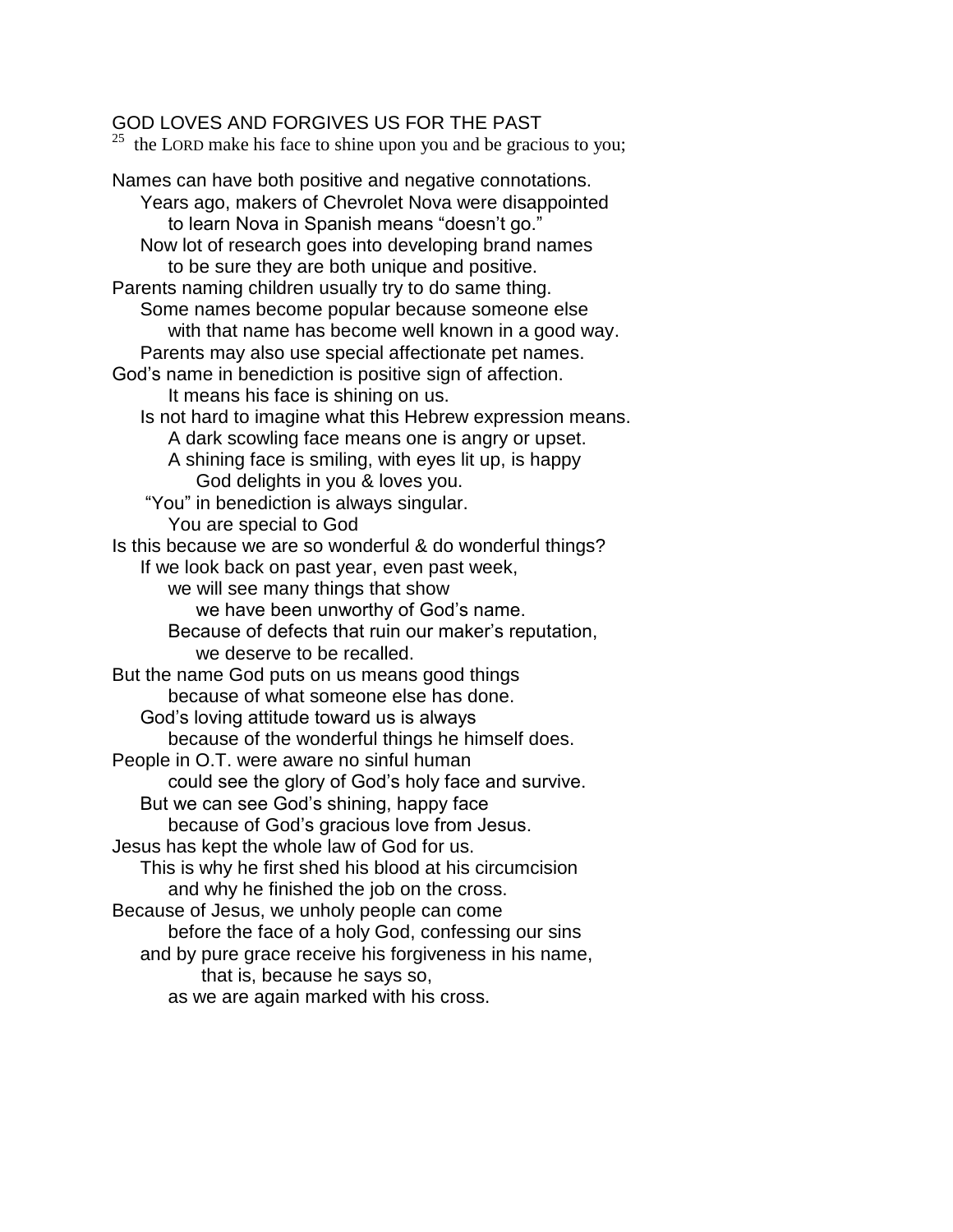## GOD LOVES AND FORGIVES US FOR THE PAST

 $^{25}$  the LORD make his face to shine upon you and be gracious to you;

Names can have both positive and negative connotations. Years ago, makers of Chevrolet Nova were disappointed to learn Nova in Spanish means "doesn't go." Now lot of research goes into developing brand names to be sure they are both unique and positive. Parents naming children usually try to do same thing. Some names become popular because someone else with that name has become well known in a good way. Parents may also use special affectionate pet names. God's name in benediction is positive sign of affection. It means his face is shining on us. Is not hard to imagine what this Hebrew expression means. A dark scowling face means one is angry or upset. A shining face is smiling, with eyes lit up, is happy God delights in you & loves you. "You" in benediction is always singular. You are special to God Is this because we are so wonderful & do wonderful things? If we look back on past year, even past week, we will see many things that show we have been unworthy of God's name. Because of defects that ruin our maker's reputation, we deserve to be recalled. But the name God puts on us means good things because of what someone else has done. God's loving attitude toward us is always because of the wonderful things he himself does. People in O.T. were aware no sinful human could see the glory of God's holy face and survive. But we can see God's shining, happy face because of God's gracious love from Jesus. Jesus has kept the whole law of God for us. This is why he first shed his blood at his circumcision and why he finished the job on the cross. Because of Jesus, we unholy people can come before the face of a holy God, confessing our sins and by pure grace receive his forgiveness in his name, that is, because he says so, as we are again marked with his cross.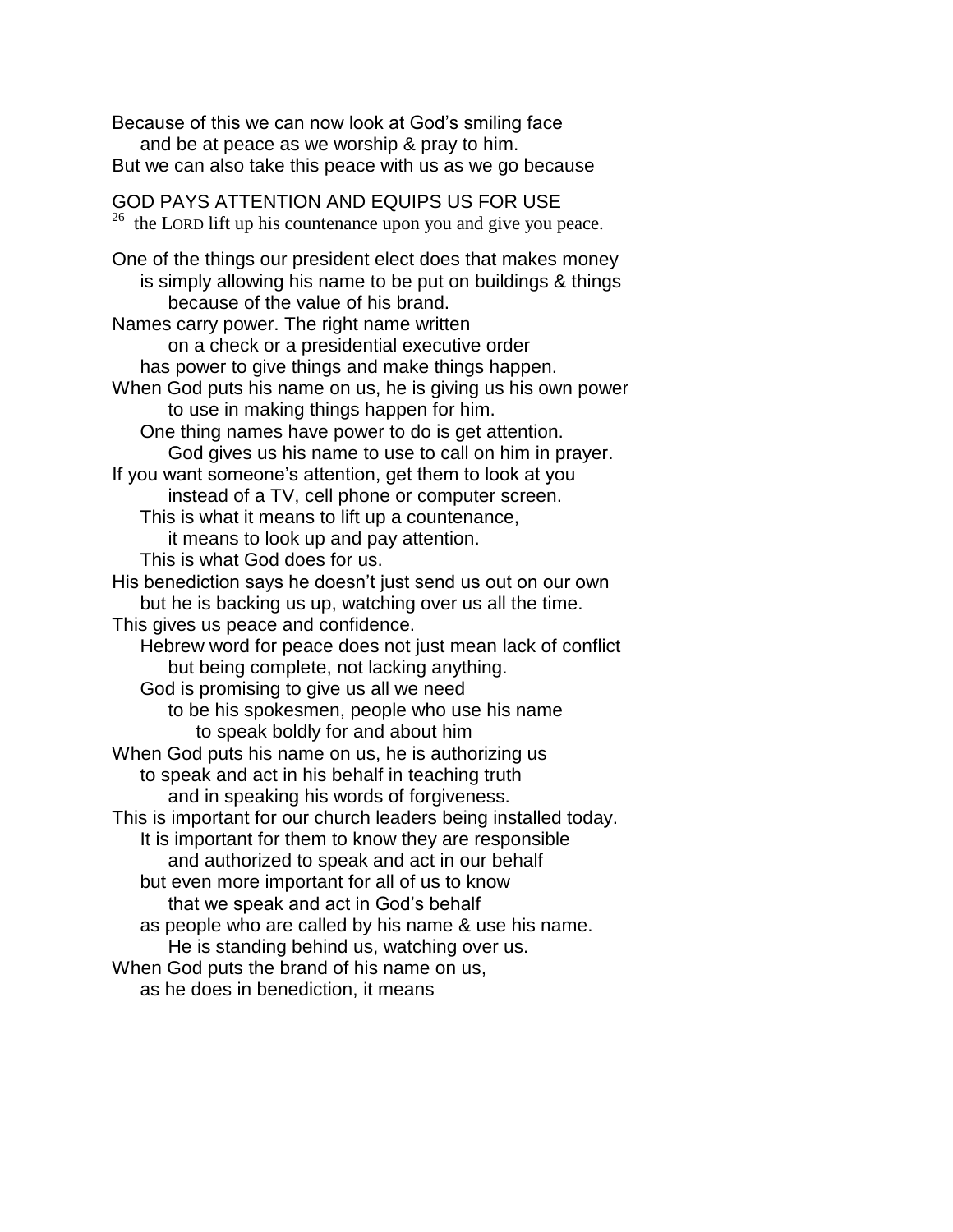Because of this we can now look at God's smiling face and be at peace as we worship & pray to him. But we can also take this peace with us as we go because GOD PAYS ATTENTION AND EQUIPS US FOR USE  $26$  the LORD lift up his countenance upon you and give you peace. One of the things our president elect does that makes money is simply allowing his name to be put on buildings & things because of the value of his brand. Names carry power. The right name written on a check or a presidential executive order has power to give things and make things happen. When God puts his name on us, he is giving us his own power to use in making things happen for him. One thing names have power to do is get attention. God gives us his name to use to call on him in prayer. If you want someone's attention, get them to look at you instead of a TV, cell phone or computer screen. This is what it means to lift up a countenance, it means to look up and pay attention. This is what God does for us. His benediction says he doesn't just send us out on our own but he is backing us up, watching over us all the time. This gives us peace and confidence. Hebrew word for peace does not just mean lack of conflict but being complete, not lacking anything. God is promising to give us all we need to be his spokesmen, people who use his name to speak boldly for and about him When God puts his name on us, he is authorizing us to speak and act in his behalf in teaching truth and in speaking his words of forgiveness. This is important for our church leaders being installed today. It is important for them to know they are responsible and authorized to speak and act in our behalf but even more important for all of us to know that we speak and act in God's behalf as people who are called by his name & use his name. He is standing behind us, watching over us. When God puts the brand of his name on us, as he does in benediction, it means